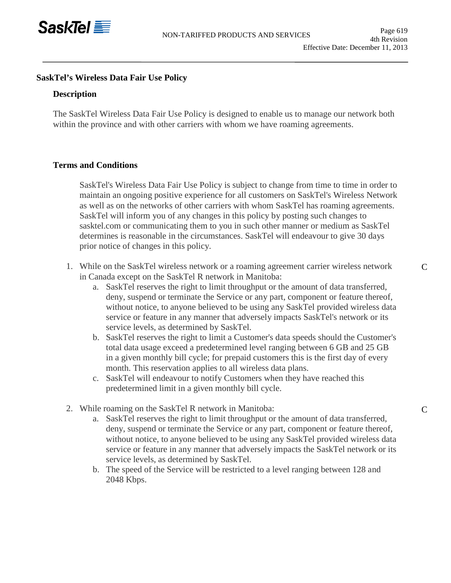

## **SaskTel's Wireless Data Fair Use Policy**

#### **Description**

The SaskTel Wireless Data Fair Use Policy is designed to enable us to manage our network both within the province and with other carriers with whom we have roaming agreements.

#### **Terms and Conditions**

SaskTel's Wireless Data Fair Use Policy is subject to change from time to time in order to maintain an ongoing positive experience for all customers on SaskTel's Wireless Network as well as on the networks of other carriers with whom SaskTel has roaming agreements. SaskTel will inform you of any changes in this policy by posting such changes to [sasktel.com](http://sasktel.com/) or communicating them to you in such other manner or medium as SaskTel determines is reasonable in the circumstances. SaskTel will endeavour to give 30 days prior notice of changes in this policy.

- 1. While on the SaskTel wireless network or a roaming agreement carrier wireless network in Canada except on the SaskTel R network in Manitoba:
	- a. SaskTel reserves the right to limit throughput or the amount of data transferred, deny, suspend or terminate the Service or any part, component or feature thereof, without notice, to anyone believed to be using any SaskTel provided wireless data service or feature in any manner that adversely impacts SaskTel's network or its service levels, as determined by SaskTel.
	- b. SaskTel reserves the right to limit a Customer's data speeds should the Customer's total data usage exceed a predetermined level ranging between 6 GB and 25 GB in a given monthly bill cycle; for prepaid customers this is the first day of every month. This reservation applies to all wireless data plans.
	- c. SaskTel will endeavour to notify Customers when they have reached this predetermined limit in a given monthly bill cycle.
- 2. While roaming on the SaskTel R network in Manitoba:
	- a. SaskTel reserves the right to limit throughput or the amount of data transferred, deny, suspend or terminate the Service or any part, component or feature thereof, without notice, to anyone believed to be using any SaskTel provided wireless data service or feature in any manner that adversely impacts the SaskTel network or its service levels, as determined by SaskTel.
	- b. The speed of the Service will be restricted to a level ranging between 128 and 2048 Kbps.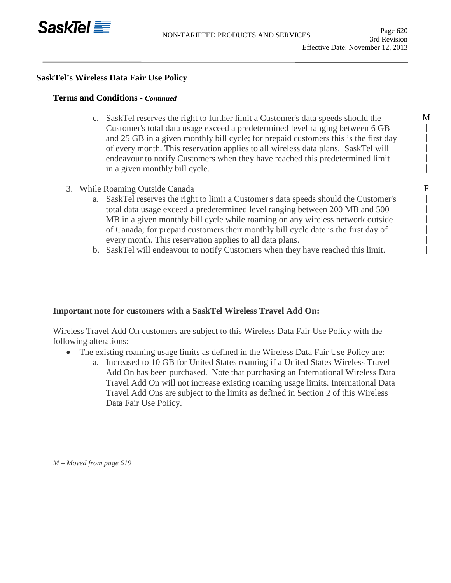

M | | | | |

> F | | | | | |

# **SaskTel's Wireless Data Fair Use Policy**

## **Terms and Conditions -** *Continued*

- c. SaskTel reserves the right to further limit a Customer's data speeds should the Customer's total data usage exceed a predetermined level ranging between 6 GB and 25 GB in a given monthly bill cycle; for prepaid customers this is the first day of every month. This reservation applies to all wireless data plans. SaskTel will endeavour to notify Customers when they have reached this predetermined limit in a given monthly bill cycle.
- 3. While Roaming Outside Canada
	- a. SaskTel reserves the right to limit a Customer's data speeds should the Customer's total data usage exceed a predetermined level ranging between 200 MB and 500 MB in a given monthly bill cycle while roaming on any wireless network outside of Canada; for prepaid customers their monthly bill cycle date is the first day of every month. This reservation applies to all data plans.
	- b. SaskTel will endeavour to notify Customers when they have reached this limit.

# **Important note for customers with a SaskTel Wireless Travel Add On:**

Wireless Travel Add On customers are subject to this Wireless Data Fair Use Policy with the following alterations:

- The existing roaming usage limits as defined in the Wireless Data Fair Use Policy are:
	- a. Increased to 10 GB for United States roaming if a United States Wireless Travel Add On has been purchased. Note that purchasing an International Wireless Data Travel Add On will not increase existing roaming usage limits. International Data Travel Add Ons are subject to the limits as defined in Section 2 of this Wireless Data Fair Use Policy.

*M – Moved from page 619*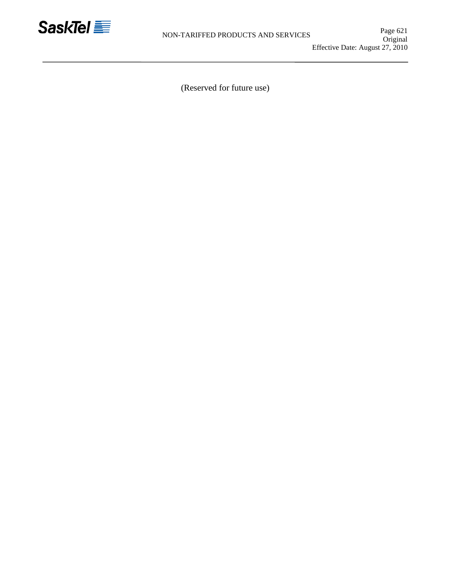

(Reserved for future use)